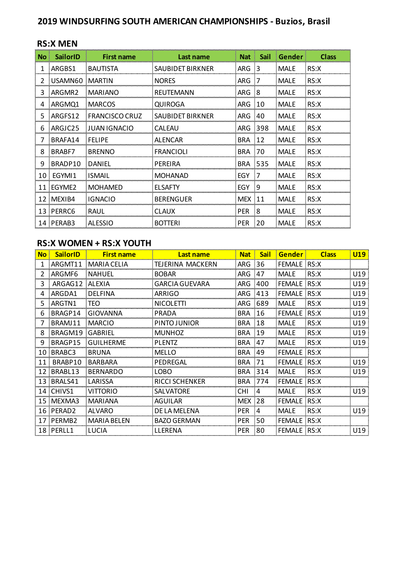# **2019 WINDSURFING SOUTH AMERICAN CHAMPIONSHIPS - Buzios, Brasil**

|      | <b>RS:X MEN</b> |                       |                  |                |                |             |              |  |  |  |
|------|-----------------|-----------------------|------------------|----------------|----------------|-------------|--------------|--|--|--|
| No : | <b>SailorID</b> | <b>First name</b>     | Last name        |                | Nat Sail       | Gender      | <b>Class</b> |  |  |  |
|      | ARGBS1          | <b>BAUTISTA</b>       | SAUBIDET BIRKNER | ARG            | - 3            | <b>MALE</b> | RS:X         |  |  |  |
| 2    | USAMN60 MARTIN  |                       | <b>NORES</b>     | ARG            | $\overline{7}$ | <b>MALE</b> | RS:X         |  |  |  |
| 3    | ARGMR2          | <b>MARIANO</b>        | REUTEMANN        | ARG 8          |                | <b>MALE</b> | RS:X         |  |  |  |
| 4    | ARGMQ1          | <b>MARCOS</b>         | QUIROGA          | ARG 10         |                | <b>MALE</b> | RS:X         |  |  |  |
| 5.   | ARGFS12         | <b>FRANCISCO CRUZ</b> | SAUBIDET BIRKNER | ARG 40         |                | <b>MALE</b> | RS:X         |  |  |  |
| 6    | ARGJC25         | : JUAN IGNACIO        | <b>CALEAU</b>    | ARG 398        |                | <b>MALE</b> | RS:X         |  |  |  |
| 7    | BRAFA14         | FELIPE                | <b>ALENCAR</b>   | <b>BRA 12</b>  |                | <b>MALE</b> | RS:X         |  |  |  |
| 8    | BRABE7          | <b>BRENNO</b>         | <b>FRANCIOLI</b> | <b>BRA 70</b>  |                | <b>MALE</b> | RS:X         |  |  |  |
| 9    | BRADP10         | DANIEL                | PERFIRA          | <b>BRA 535</b> |                | <b>MALE</b> | RS:X         |  |  |  |
|      | 10 EGYMI1       | <b>ISMAIL</b>         | <b>MOHANAD</b>   | EGY 7          |                | <b>MALE</b> | RS:X         |  |  |  |
|      | 11 EGYME2       | <b>MOHAMED</b>        | <b>FLSAFTY</b>   | EGY 9          |                | <b>MALE</b> | RS:X         |  |  |  |
|      | 12 MEXIB4       | <b>IGNACIO</b>        | <b>BERENGUER</b> | <b>MEX 11</b>  |                | <b>MALE</b> | RS:X         |  |  |  |
|      | 13 PERRC6       | RAUL                  | <b>CLAUX</b>     | <b>PER</b>     | -8             | <b>MALE</b> | RS:X         |  |  |  |
|      | 14 PERAB3       | <b>ALESSIO</b>        | <b>BOTTERI</b>   | <b>PER</b>     | -20            | MALE        | RS:X         |  |  |  |

### **RS:X WOMEN + RS:X YOUTH**

| <b>No</b> | <b>SailorID</b>    | <b>First name</b>  | Last name             | <b>Nat</b>    | <b>Sail</b>  | Gender             | <b>Class</b> | <b>U19</b> |
|-----------|--------------------|--------------------|-----------------------|---------------|--------------|--------------------|--------------|------------|
|           | ARGMT11            | MARIA CELIA        | TEJERINA MACKERN      | ARG.          | 36           | <b>FEMALE</b> RS:X |              |            |
|           | ARGMF6             | <b>NAHUEL</b>      | <b>BOBAR</b>          | ARG.          | - 47         | <b>MALE</b>        | RS:X         | U19        |
| 3         | ARGAG12 ALEXIA     |                    | GARCIA GUEVARA        | ARG.          | - 400        | <b>FEMALE</b> RS:X |              | U19        |
| 4         | ARGDA1             | DELFINA            | <b>ARRIGO</b>         | ARG.          | -413         | FEMALE             | ∴RS:X        | U19        |
| 5         | ARGTN1             | :TEO               | NICOLETTI             | ARG.          | -689         | <b>MALE</b>        | RS:X         | U19        |
| 6         | BRAGP14            | GIOVANNA           | PRADA                 | <b>BRA</b>    | - 16         | <b>FEMALE</b>      | ∴RS:X        | U19        |
|           | BRAMJ11            | <b>MARCIO</b>      | PINTO JUNIOR          | <b>BRA</b>    | - 18         | <b>MALE</b>        | RS:X         | U19        |
| 8         | BRAGM19            | GABRIEL            | <b>MUNHOZ</b>         | BRA           | - 19         | <b>MALE</b>        | RS:X         | U19        |
| 9         | BRAGP15            | <b>GUILHERME</b>   | <b>PLENTZ</b>         | <b>BRA</b>    | - 47         | <b>MALE</b>        | RS:X         | U19        |
| 10        | BRABC3             | <b>BRUNA</b>       | <b>MELLO</b>          | <b>BRA</b>    | -49          | <b>FEMALE</b>      | RS:X         |            |
| 11        | BRABP10            | BARBARA            | PEDREGAL              | <b>BRA</b>    | - 71         | <b>FEMALE</b>      | RS:X         | U19        |
| 12        | BRABL13            | <b>BERNARDO</b>    | LOBO                  | BRA 314       |              | <b>MALE</b>        | RS:X         | U19        |
| 13        | BRALS41            | LARISSA            | <b>RICCI SCHENKER</b> | <b>BRA</b>    | - 774        | <b>FEMALE</b> RS:X |              |            |
|           | 14 CHIVS1          | <b>VITTORIO</b>    | SALVATORE             | CHI.          | $\cdot$ 4    | <b>MALE</b>        | RS:X         | U19        |
| 15        | MEXMA3             | MARIANA            | <b>AGUILAR</b>        | <b>MEX 28</b> |              | <b>FEMALE</b>      | RS:X         |            |
| 16        | PERAD <sub>2</sub> | AI VARO            | DE LA MELENA          | <b>PER</b>    | $\mathbf{A}$ | <b>MALF</b>        | RS:X         | U19        |
| 17        | PERMB2             | <b>MARIA BELEN</b> | BAZO GERMAN           | <b>PER</b>    | 50           | <b>FEMALE</b>      | ∐RS:X        |            |
| 18        | <b>PERLL1</b>      | <b>LUCIA</b>       | LLERENA               | <b>PER</b>    | 80           | <b>FEMALE</b> RS:X |              | U19        |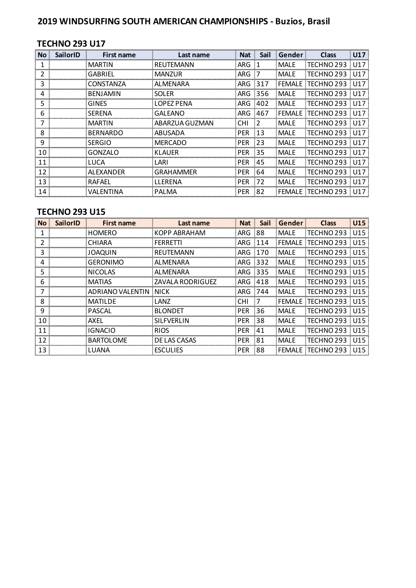# **2019 WINDSURFING SOUTH AMERICAN CHAMPIONSHIPS - Buzios, Brasil**

### **TECHNO 293 U17**

| <b>No</b> | <b>SailorID</b> | First name       | Last name      | <b>Nat</b>    | <b>Sail</b> | Gender      | <b>Class</b> | U17             |
|-----------|-----------------|------------------|----------------|---------------|-------------|-------------|--------------|-----------------|
|           |                 | <b>MARTIN</b>    | REUTEMANN      | ARG 1         |             | <b>MALE</b> | TECHNO 293   | U17             |
|           |                 | <b>GABRIEL</b>   | MANZUR         | ARG           | :7          | <b>MALE</b> | TECHNO 293   | 1117            |
|           |                 | : CONSTANZA      | ALMENARA       | ARG 317       |             | FEMALE)     | TECHNO 293   | U17             |
| 4         |                 | <b>BENJAMIN</b>  | <b>SOLER</b>   | ARG 356       |             | <b>MALE</b> | TECHNO 293   | U17             |
| 5         |                 | GINES            | LOPEZ PENA     | ARG 402       |             | <b>MALE</b> | TECHNO 293   | U <sub>17</sub> |
| 6         |                 | <b>SERENA</b>    | <b>GALEANO</b> | ARG 467       |             | FEMALE      | TECHNO 293   | U17             |
|           |                 | <b>MARTIN</b>    | ABARZUA GUZMAN | <b>CHI</b>    | - 2         | <b>MALE</b> | TECHNO 293   | U17             |
| 8         |                 | <b>BERNARDO</b>  | ABUSADA        | <b>PER</b>    | $-13$       | <b>MALE</b> | TECHNO 293   | U17             |
| 9         |                 | <b>SERGIO</b>    | <b>MERCADO</b> | <b>PER</b>    | 23          | <b>MALE</b> | TECHNO 293   | U17             |
| 10        |                 | GONZALO          | KLAUFR         | <b>PER 35</b> |             | <b>MALE</b> | TECHNO 293   | : U17           |
| 11        |                 | <b>TUCA</b>      | LARI           | <b>PER</b>    | -45         | <b>MALE</b> | TECHNO 293   | 1117            |
| 12        |                 | ALEXANDER        | GRAHAMMER      | <b>PER</b>    | -64         | <b>MALE</b> | TECHNO 293   | U17             |
| 13        |                 | RAFAFL           | <b>LLERENA</b> | <b>PER</b>    | .72         | <b>MALE</b> | TECHNO 293   | U17             |
| 14        |                 | <b>VALENTINA</b> | PALMA          | <b>PER</b>    | -82         | FEMALE      | TECHNO 293   | U17             |

#### **TECHNO 293 U15**

| <b>No</b> | <b>SailorID</b> | <b>First name</b>     | Last name          |            | Nat Sail | Gender        | <b>Class</b>        | U <sub>15</sub> |
|-----------|-----------------|-----------------------|--------------------|------------|----------|---------------|---------------------|-----------------|
|           |                 | <b>HOMERO</b>         | KOPP ABRAHAM       | ARG 88     |          | <b>MALE</b>   | TECHNO 293          | U15             |
|           |                 | CHIARA                | FERRETTI           | ARG 114    |          | <b>FEMALE</b> | TECHNO 293          | U <sub>15</sub> |
|           |                 | <b>JOAOUIN</b>        | REUTEMANN          | ARG 170    |          | <b>MALE</b>   | TECHNO 293          | U15             |
|           |                 | GERONIMO              | ALMENARA           | ARG 332    |          | <b>MALE</b>   | TECHNO 293          | 8 1 1 1 5       |
| 5         |                 | <b>NICOLAS</b>        | AL MENARA          | ARG 335    |          | MALE          | TECHNO 293          | 1115            |
| 6         |                 | <b>MATIAS</b>         | : ZAVALA RODRIGUEZ | ARG 418    |          | MALE          | TECHNO 293          | U <sub>15</sub> |
|           |                 | ADRIANO VALENTIN NICK |                    | ARG 744    |          | : MALE        | TECHNO 293          | U <sub>15</sub> |
| 8         |                 | MATII DE              | LANZ               | <b>CHI</b> |          | <b>FFMALE</b> | ITECHNO 293         | 1115            |
| 9         |                 | <b>PASCAL</b>         | <b>BLONDET</b>     | <b>PER</b> | - 36     | <b>MALE</b>   | TECHNO 293          | 1115            |
| 10        |                 | <b>AXFL</b>           | <b>SILFVERLIN</b>  | <b>PER</b> | -38      | <b>MALE</b>   | TECHNO 293          | 1115            |
| 11        |                 | <b>IGNACIO</b>        | <b>RIOS</b>        | <b>PER</b> | $-41$    | <b>MALE</b>   | TECHNO 293          | 1115            |
| 12        |                 | <b>BARTOLOME</b>      | <b>DELAS CASAS</b> | <b>PER</b> | -81      | <b>MALE</b>   | TECHNO 293          | U <sub>15</sub> |
| 13        |                 | LUANA                 | <b>ESCULIES</b>    | PER 88     |          |               | FEMALE   TECHNO 293 | U15             |